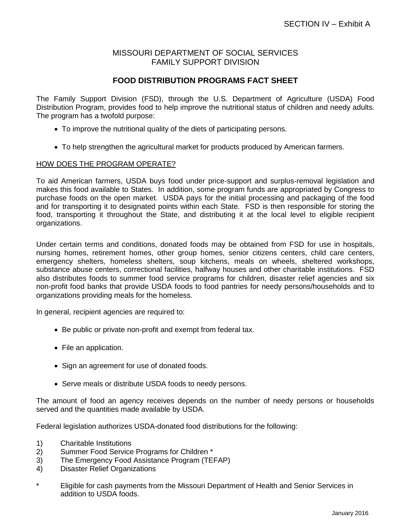## MISSOURI DEPARTMENT OF SOCIAL SERVICES FAMILY SUPPORT DIVISION

# **FOOD DISTRIBUTION PROGRAMS FACT SHEET**

The Family Support Division (FSD), through the U.S. Department of Agriculture (USDA) Food Distribution Program, provides food to help improve the nutritional status of children and needy adults. The program has a twofold purpose:

- To improve the nutritional quality of the diets of participating persons.
- To help strengthen the agricultural market for products produced by American farmers.

#### HOW DOES THE PROGRAM OPERATE?

To aid American farmers, USDA buys food under price-support and surplus-removal legislation and makes this food available to States. In addition, some program funds are appropriated by Congress to purchase foods on the open market. USDA pays for the initial processing and packaging of the food and for transporting it to designated points within each State. FSD is then responsible for storing the food, transporting it throughout the State, and distributing it at the local level to eligible recipient organizations.

Under certain terms and conditions, donated foods may be obtained from FSD for use in hospitals, nursing homes, retirement homes, other group homes, senior citizens centers, child care centers, emergency shelters, homeless shelters, soup kitchens, meals on wheels, sheltered workshops, substance abuse centers, correctional facilities, halfway houses and other charitable institutions. FSD also distributes foods to summer food service programs for children, disaster relief agencies and six non-profit food banks that provide USDA foods to food pantries for needy persons/households and to organizations providing meals for the homeless.

In general, recipient agencies are required to:

- Be public or private non-profit and exempt from federal tax.
- File an application.
- Sign an agreement for use of donated foods.
- Serve meals or distribute USDA foods to needy persons.

The amount of food an agency receives depends on the number of needy persons or households served and the quantities made available by USDA.

Federal legislation authorizes USDA-donated food distributions for the following:

- 1) Charitable Institutions
- 2) Summer Food Service Programs for Children \*
- 3) The Emergency Food Assistance Program (TEFAP)
- 4) Disaster Relief Organizations
- \* Eligible for cash payments from the Missouri Department of Health and Senior Services in addition to USDA foods.